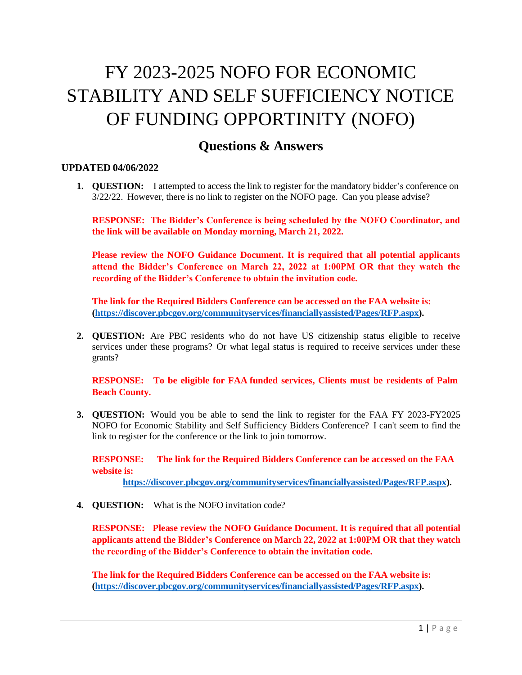## FY 2023-2025 NOFO FOR ECONOMIC STABILITY AND SELF SUFFICIENCY NOTICE OF FUNDING OPPORTINITY (NOFO)

## **Questions & Answers**

## **UPDATED 04/06/2022**

**1. QUESTION:** I attempted to access the link to register for the mandatory bidder's conference on 3/22/22. However, there is no link to register on the NOFO page. Can you please advise?

**RESPONSE: The Bidder's Conference is being scheduled by the NOFO Coordinator, and the link will be available on Monday morning, March 21, 2022.**

**Please review the NOFO Guidance Document. It is required that all potential applicants attend the Bidder's Conference on March 22, 2022 at 1:00PM OR that they watch the recording of the Bidder's Conference to obtain the invitation code.**

**The link for the Required Bidders Conference can be accessed on the FAA website is: [\(https://discover.pbcgov.org/communityservices/financiallyassisted/Pages/RFP.aspx\)](https://discover.pbcgov.org/communityservices/financiallyassisted/Pages/RFP.aspx).**

**2. QUESTION:** Are PBC residents who do not have US citizenship status eligible to receive services under these programs? Or what legal status is required to receive services under these grants?

**RESPONSE: To be eligible for FAA funded services, Clients must be residents of Palm Beach County.**

**3. QUESTION:** Would you be able to send the link to register for the FAA FY 2023-FY2025 NOFO for Economic Stability and Self Sufficiency Bidders Conference? I can't seem to find the link to register for the conference or the link to join tomorrow.

**RESPONSE: The link for the Required Bidders Conference can be accessed on the FAA website is:**

**[https://discover.pbcgov.org/communityservices/financiallyassisted/Pages/RFP.aspx\)](https://discover.pbcgov.org/communityservices/financiallyassisted/Pages/RFP.aspx).**

**4. QUESTION:** What is the NOFO invitation code?

**RESPONSE: Please review the NOFO Guidance Document. It is required that all potential applicants attend the Bidder's Conference on March 22, 2022 at 1:00PM OR that they watch the recording of the Bidder's Conference to obtain the invitation code.**

**The link for the Required Bidders Conference can be accessed on the FAA website is: [\(https://discover.pbcgov.org/communityservices/financiallyassisted/Pages/RFP.aspx\)](https://discover.pbcgov.org/communityservices/financiallyassisted/Pages/RFP.aspx).**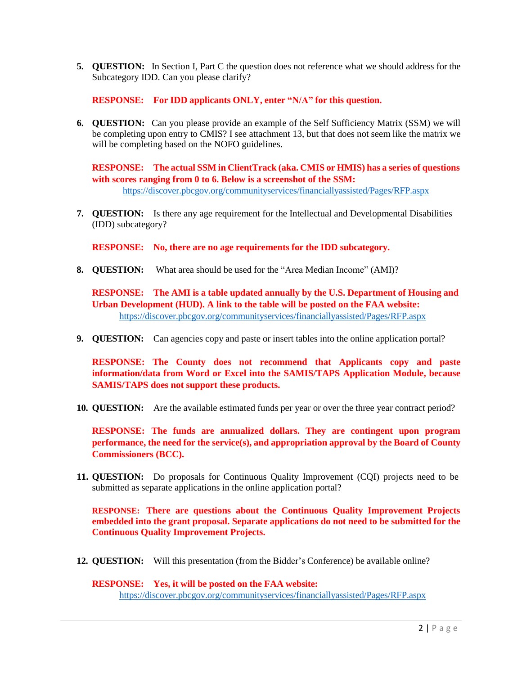**5. QUESTION:** In Section I, Part C the question does not reference what we should address for the Subcategory IDD. Can you please clarify?

**RESPONSE: For IDD applicants ONLY, enter "N/A" for this question.**

**6. QUESTION:** Can you please provide an example of the Self Sufficiency Matrix (SSM) we will be completing upon entry to CMIS? I see attachment 13, but that does not seem like the matrix we will be completing based on the NOFO guidelines.

**RESPONSE: The actual SSM in ClientTrack (aka. CMIS or HMIS) has a series of questions with scores ranging from 0 to 6. Below is a screenshot of the SSM:** <https://discover.pbcgov.org/communityservices/financiallyassisted/Pages/RFP.aspx>

**7. QUESTION:** Is there any age requirement for the Intellectual and Developmental Disabilities (IDD) subcategory?

**RESPONSE: No, there are no age requirements for the IDD subcategory.**

**8. QUESTION:** What area should be used for the "Area Median Income" (AMI)?

**RESPONSE: The AMI is a table updated annually by the U.S. Department of Housing and Urban Development (HUD). A link to the table will be posted on the FAA website:** <https://discover.pbcgov.org/communityservices/financiallyassisted/Pages/RFP.aspx>

**9. QUESTION:** Can agencies copy and paste or insert tables into the online application portal?

**RESPONSE: The County does not recommend that Applicants copy and paste information/data from Word or Excel into the SAMIS/TAPS Application Module, because SAMIS/TAPS does not support these products.**

**10. QUESTION:** Are the available estimated funds per year or over the three year contract period?

**RESPONSE: The funds are annualized dollars. They are contingent upon program performance, the need for the service(s), and appropriation approval by the Board of County Commissioners (BCC).**

**11. QUESTION:** Do proposals for Continuous Quality Improvement (CQI) projects need to be submitted as separate applications in the online application portal?

**RESPONSE: There are questions about the Continuous Quality Improvement Projects embedded into the grant proposal. Separate applications do not need to be submitted for the Continuous Quality Improvement Projects.**

**12. QUESTION:** Will this presentation (from the Bidder's Conference) be available online?

**RESPONSE: Yes, it will be posted on the FAA website:** <https://discover.pbcgov.org/communityservices/financiallyassisted/Pages/RFP.aspx>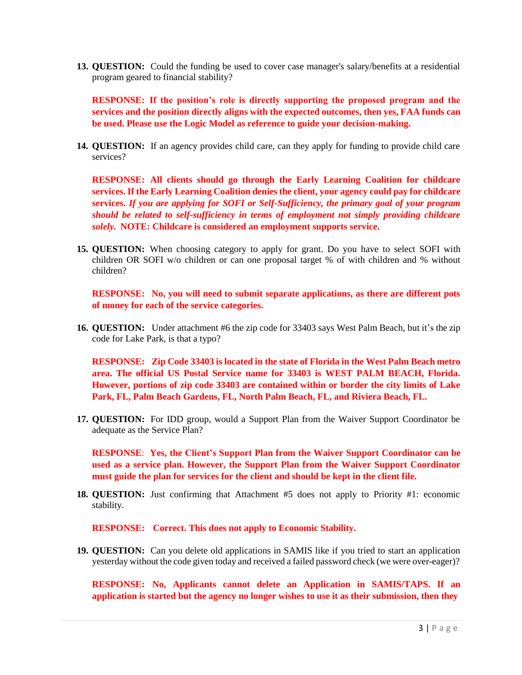**13. QUESTION:** Could the funding be used to cover case manager's salary/benefits at a residential program geared to financial stability?

**RESPONSE: If the position's role is directly supporting the proposed program and the services and the position directly aligns with the expected outcomes, then yes, FAA funds can be used. Please use the Logic Model as reference to guide your decision-making.**

**14. QUESTION:** If an agency provides child care, can they apply for funding to provide child care services?

**RESPONSE: All clients should go through the Early Learning Coalition for childcare services. If the Early Learning Coalition denies the client, your agency could pay for childcare services.** *If you are applying for SOFI or Self-Sufficiency, the primary goal of your program should be related to self-sufficiency in terms of employment not simply providing childcare solely.* **NOTE: Childcare is considered an employment supports service.**

**15. QUESTION:** When choosing category to apply for grant. Do you have to select SOFI with children OR SOFI w/o children or can one proposal target % of with children and % without children?

**RESPONSE: No, you will need to submit separate applications, as there are different pots of money for each of the service categories.**

**16. QUESTION:** Under attachment #6 the zip code for 33403 says West Palm Beach, but it's the zip code for Lake Park, is that a typo?

**RESPONSE: Zip Code 33403 is located in the state of Florida in the West Palm Beach metro area. The official US Postal Service name for 33403 is WEST PALM BEACH, Florida. However, portions of zip code 33403 are contained within or border the city limits of Lake Park, FL, Palm Beach Gardens, FL, North Palm Beach, FL, and Riviera Beach, FL.**

**17. QUESTION:** For IDD group, would a Support Plan from the Waiver Support Coordinator be adequate as the Service Plan?

**RESPONSE**: **Yes, the Client's Support Plan from the Waiver Support Coordinator can be used as a service plan. However, the Support Plan from the Waiver Support Coordinator must guide the plan for services for the client and should be kept in the client file.**

**18. QUESTION:** Just confirming that Attachment #5 does not apply to Priority #1: economic stability.

**RESPONSE: Correct. This does not apply to Economic Stability.**

**19. QUESTION:** Can you delete old applications in SAMIS like if you tried to start an application yesterday without the code given today and received a failed password check (we were over-eager)?

**RESPONSE: No, Applicants cannot delete an Application in SAMIS/TAPS. If an application is started but the agency no longer wishes to use it as their submission, then they**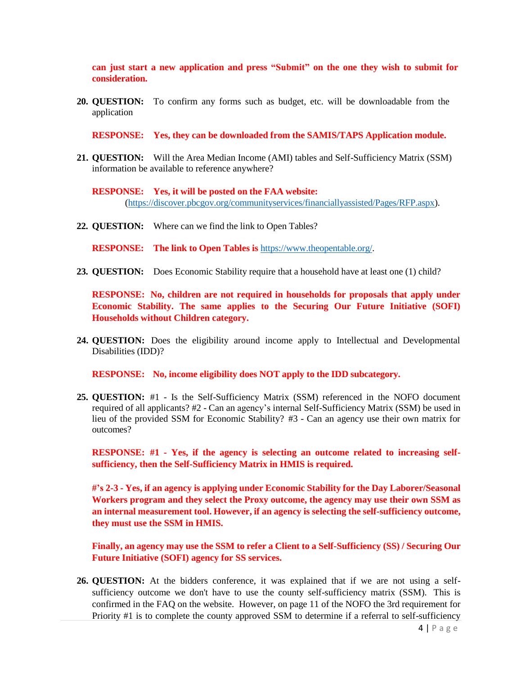**can just start a new application and press "Submit" on the one they wish to submit for consideration.**

**20. QUESTION:** To confirm any forms such as budget, etc. will be downloadable from the application

**RESPONSE: Yes, they can be downloaded from the SAMIS/TAPS Application module.**

**21. QUESTION:** Will the Area Median Income (AMI) tables and Self-Sufficiency Matrix (SSM) information be available to reference anywhere?

**RESPONSE: Yes, it will be posted on the FAA website:** [\(https://discover.pbcgov.org/communityservices/financiallyassisted/Pages/RFP.aspx\)](https://discover.pbcgov.org/communityservices/financiallyassisted/Pages/RFP.aspx).

**22. QUESTION:** Where can we find the link to Open Tables?

**RESPONSE: The link to Open Tables is** [https://www.theopentable.org/.](https://www.theopentable.org/)

**23. QUESTION:** Does Economic Stability require that a household have at least one (1) child?

**RESPONSE: No, children are not required in households for proposals that apply under Economic Stability. The same applies to the Securing Our Future Initiative (SOFI) Households without Children category.**

**24. QUESTION:** Does the eligibility around income apply to Intellectual and Developmental Disabilities (IDD)?

**RESPONSE: No, income eligibility does NOT apply to the IDD subcategory.**

**25. QUESTION:** #1 - Is the Self-Sufficiency Matrix (SSM) referenced in the NOFO document required of all applicants? #2 - Can an agency's internal Self-Sufficiency Matrix (SSM) be used in lieu of the provided SSM for Economic Stability? #3 - Can an agency use their own matrix for outcomes?

**RESPONSE: #1 - Yes, if the agency is selecting an outcome related to increasing selfsufficiency, then the Self-Sufficiency Matrix in HMIS is required.**

**#'s 2-3 - Yes, if an agency is applying under Economic Stability for the Day Laborer/Seasonal Workers program and they select the Proxy outcome, the agency may use their own SSM as an internal measurement tool. However, if an agency is selecting the self-sufficiency outcome, they must use the SSM in HMIS.**

**Finally, an agency may use the SSM to refer a Client to a Self-Sufficiency (SS) / Securing Our Future Initiative (SOFI) agency for SS services.**

**26. QUESTION:** At the bidders conference, it was explained that if we are not using a selfsufficiency outcome we don't have to use the county self-sufficiency matrix (SSM). This is confirmed in the FAQ on the website. However, on page 11 of the NOFO the 3rd requirement for Priority #1 is to complete the county approved SSM to determine if a referral to self-sufficiency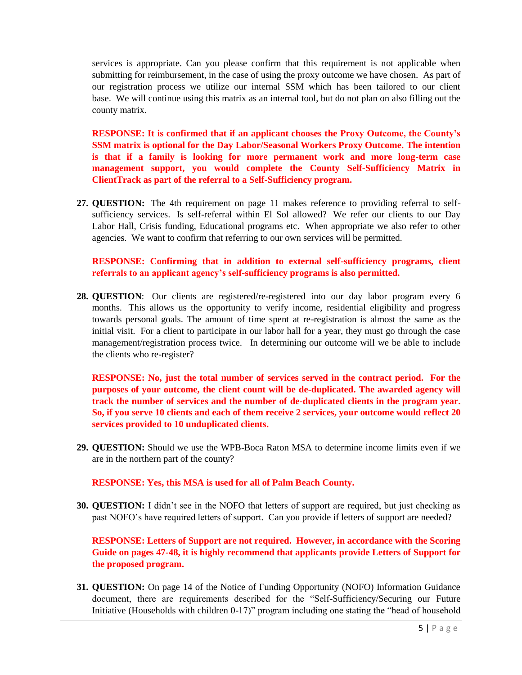services is appropriate. Can you please confirm that this requirement is not applicable when submitting for reimbursement, in the case of using the proxy outcome we have chosen. As part of our registration process we utilize our internal SSM which has been tailored to our client base. We will continue using this matrix as an internal tool, but do not plan on also filling out the county matrix.

**RESPONSE: It is confirmed that if an applicant chooses the Proxy Outcome, the County's SSM matrix is optional for the Day Labor/Seasonal Workers Proxy Outcome. The intention is that if a family is looking for more permanent work and more long-term case management support, you would complete the County Self-Sufficiency Matrix in ClientTrack as part of the referral to a Self-Sufficiency program.**

**27. QUESTION:** The 4th requirement on page 11 makes reference to providing referral to selfsufficiency services. Is self-referral within El Sol allowed? We refer our clients to our Day Labor Hall, Crisis funding, Educational programs etc. When appropriate we also refer to other agencies. We want to confirm that referring to our own services will be permitted.

**RESPONSE: Confirming that in addition to external self-sufficiency programs, client referrals to an applicant agency's self-sufficiency programs is also permitted.** 

**28. QUESTION**: Our clients are registered/re-registered into our day labor program every 6 months. This allows us the opportunity to verify income, residential eligibility and progress towards personal goals. The amount of time spent at re-registration is almost the same as the initial visit. For a client to participate in our labor hall for a year, they must go through the case management/registration process twice. In determining our outcome will we be able to include the clients who re-register?

**RESPONSE: No, just the total number of services served in the contract period. For the purposes of your outcome, the client count will be de-duplicated. The awarded agency will track the number of services and the number of de-duplicated clients in the program year. So, if you serve 10 clients and each of them receive 2 services, your outcome would reflect 20 services provided to 10 unduplicated clients.** 

**29. QUESTION:** Should we use the WPB-Boca Raton MSA to determine income limits even if we are in the northern part of the county?

**RESPONSE: Yes, this MSA is used for all of Palm Beach County.**

**30. QUESTION:** I didn't see in the NOFO that letters of support are required, but just checking as past NOFO's have required letters of support. Can you provide if letters of support are needed?

**RESPONSE: Letters of Support are not required. However, in accordance with the Scoring Guide on pages 47-48, it is highly recommend that applicants provide Letters of Support for the proposed program.**

**31. QUESTION:** On page 14 of the Notice of Funding Opportunity (NOFO) Information Guidance document, there are requirements described for the "Self-Sufficiency/Securing our Future Initiative (Households with children 0-17)" program including one stating the "head of household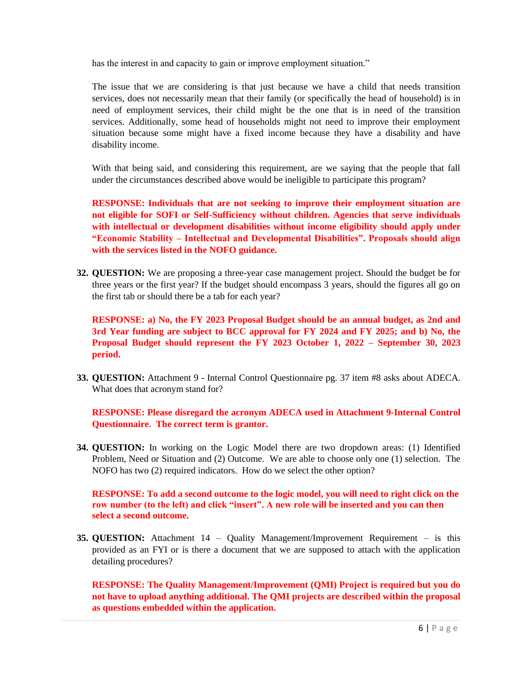has the interest in and capacity to gain or improve employment situation."

The issue that we are considering is that just because we have a child that needs transition services, does not necessarily mean that their family (or specifically the head of household) is in need of employment services, their child might be the one that is in need of the transition services. Additionally, some head of households might not need to improve their employment situation because some might have a fixed income because they have a disability and have disability income.

With that being said, and considering this requirement, are we saying that the people that fall under the circumstances described above would be ineligible to participate this program?

**RESPONSE: Individuals that are not seeking to improve their employment situation are not eligible for SOFI or Self-Sufficiency without children. Agencies that serve individuals with intellectual or development disabilities without income eligibility should apply under "Economic Stability – Intellectual and Developmental Disabilities". Proposals should align with the services listed in the NOFO guidance.** 

**32. QUESTION:** We are proposing a three-year case management project. Should the budget be for three years or the first year? If the budget should encompass 3 years, should the figures all go on the first tab or should there be a tab for each year?

**RESPONSE: a) No, the FY 2023 Proposal Budget should be an annual budget, as 2nd and 3rd Year funding are subject to BCC approval for FY 2024 and FY 2025; and b) No, the Proposal Budget should represent the FY 2023 October 1, 2022 – September 30, 2023 period.**

**33. QUESTION:** Attachment 9 - Internal Control Questionnaire pg. 37 item #8 asks about ADECA. What does that acronym stand for?

**RESPONSE: Please disregard the acronym ADECA used in Attachment 9-Internal Control Questionnaire. The correct term is grantor.**

**34. QUESTION:** In working on the Logic Model there are two dropdown areas: (1) Identified Problem, Need or Situation and (2) Outcome. We are able to choose only one (1) selection. The NOFO has two (2) required indicators. How do we select the other option?

**RESPONSE: To add a second outcome to the logic model, you will need to right click on the row number (to the left) and click "insert". A new role will be inserted and you can then select a second outcome.** 

**35. QUESTION:** Attachment 14 – Quality Management/Improvement Requirement – is this provided as an FYI or is there a document that we are supposed to attach with the application detailing procedures?

**RESPONSE: The Quality Management/Improvement (QMI) Project is required but you do not have to upload anything additional. The QMI projects are described within the proposal as questions embedded within the application.**